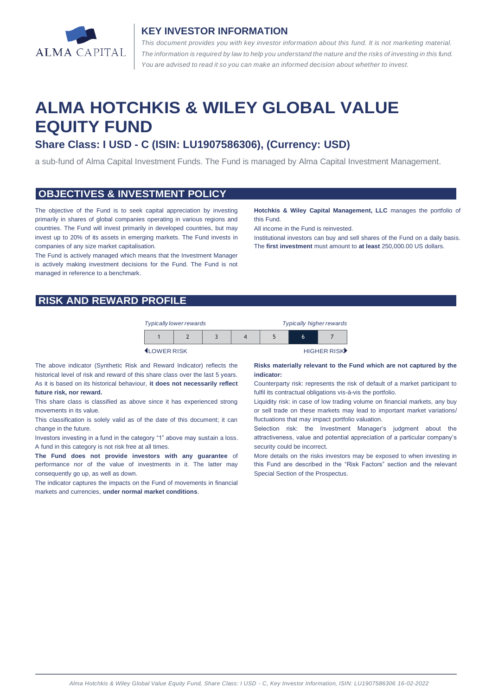

#### **KEY INVESTOR INFORMATION**

*This document provides you with key investor information about this fund. It is not marketing material.*  The information is required by law to help you understand the nature and the risks of investing in this fund. *You are advised to read it so you can make an informed decision about whether to invest.*

# **ALMA HOTCHKIS & WILEY GLOBAL VALUE EQUITY FUND**

# **Share Class: I USD - C (ISIN: LU1907586306), (Currency: USD)**

a sub-fund of Alma Capital Investment Funds. The Fund is managed by Alma Capital Investment Management.

#### **OBJECTIVES & INVESTMENT POLICY**

The objective of the Fund is to seek capital appreciation by investing primarily in shares of global companies operating in various regions and countries. The Fund will invest primarily in developed countries, but may invest up to 20% of its assets in emerging markets. The Fund invests in companies of any size market capitalisation.

The Fund is actively managed which means that the Investment Manager is actively making investment decisions for the Fund. The Fund is not managed in reference to a benchmark.

**Hotchkis & Wiley Capital Management, LLC** manages the portfolio of this Fund.

All income in the Fund is reinvested.

Institutional investors can buy and sell shares of the Fund on a daily basis. The **first investment** must amount to **at least** 250,000.00 US dollars.

# **RISK AND REWARD PROFILE**

| <b>Typically lower rewards</b> |  | <b>Typically higher rewards</b> |  |   |             |
|--------------------------------|--|---------------------------------|--|---|-------------|
|                                |  |                                 |  | b |             |
| <b>I</b> I OWER RISK           |  |                                 |  |   | HIGHER RISK |

The above indicator (Synthetic Risk and Reward Indicator) reflects the historical level of risk and reward of this share class over the last 5 years. As it is based on its historical behaviour, **it does not necessarily reflect future risk, nor reward.**

This share class is classified as above since it has experienced strong movements in its value.

This classification is solely valid as of the date of this document; it can change in the future.

Investors investing in a fund in the category "1" above may sustain a loss. A fund in this category is not risk free at all times.

**The Fund does not provide investors with any guarantee** of performance nor of the value of investments in it. The latter may consequently go up, as well as down.

The indicator captures the impacts on the Fund of movements in financial markets and currencies, **under normal market conditions**.

#### **Risks materially relevant to the Fund which are not captured by the indicator:**

Counterparty risk: represents the risk of default of a market participant to fulfil its contractual obligations vis-à-vis the portfolio.

Liquidity risk: in case of low trading volume on financial markets, any buy or sell trade on these markets may lead to important market variations/ fluctuations that may impact portfolio valuation.

Selection risk: the Investment Manager's judgment about the attractiveness, value and potential appreciation of a particular company's security could be incorrect.

More details on the risks investors may be exposed to when investing in this Fund are described in the "Risk Factors" section and the relevant Special Section of the Prospectus.